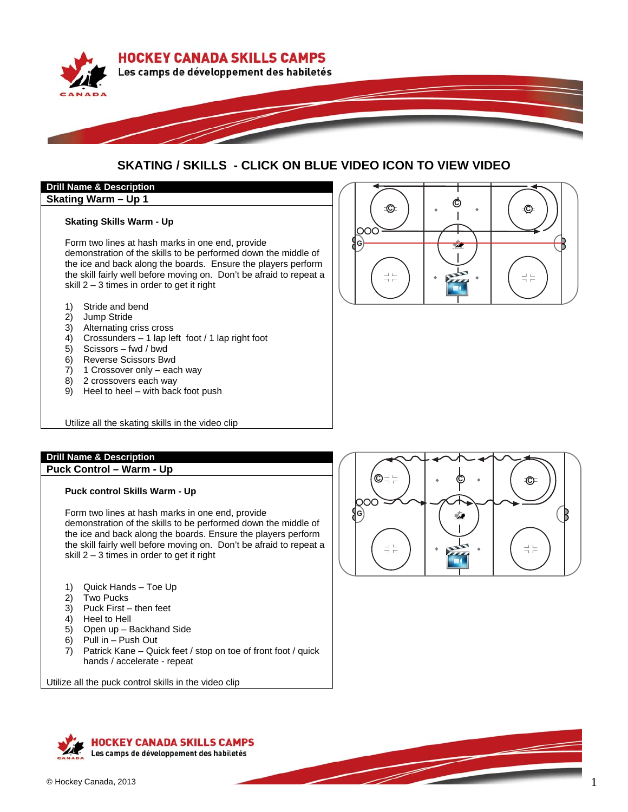

## **SKATING / SKILLS - CLICK ON BLUE VIDEO ICON TO VIEW VIDEO**

# **Drill Name & Description**

### **Skating Warm – Up 1**

#### **Skating Skills Warm - Up**

Form two lines at hash marks in one end, provide demonstration of the skills to be performed down the middle of the ice and back along the boards. Ensure the players perform the skill fairly well before moving on. Don't be afraid to repeat a skill 2 – 3 times in order to get it right

- 1) Stride and bend
- 2) Jump Stride
- 3) Alternating criss cross
- 4) Crossunders 1 lap left foot / 1 lap right foot
- 5) Scissors fwd / bwd
- 6) Reverse Scissors Bwd
- 7) 1 Crossover only each way
- 8) 2 crossovers each way
- 9) Heel to heel with back foot push

Utilize all the skating skills in the video clip

## **Drill Name & Description**

#### **Puck Control – Warm - Up**

#### **Puck control Skills Warm - Up**

Form two lines at hash marks in one end, provide demonstration of the skills to be performed down the middle of the ice and back along the boards. Ensure the players perform the skill fairly well before moving on. Don't be afraid to repeat a skill 2 – 3 times in order to get it right

- 1) Quick Hands Toe Up
- 2) Two Pucks
- 3) Puck First then feet
- 4) Heel to Hell
- 5) Open up Backhand Side
- 6) Pull in Push Out
- 7) Patrick Kane Quick feet / stop on toe of front foot / quick hands / accelerate - repeat

Utilize all the puck control skills in the video clip



**-**

**CEII. VIII.** C

 $\frac{1}{2}$   $\frac{1}{2}$ 

**-**

G

OOC

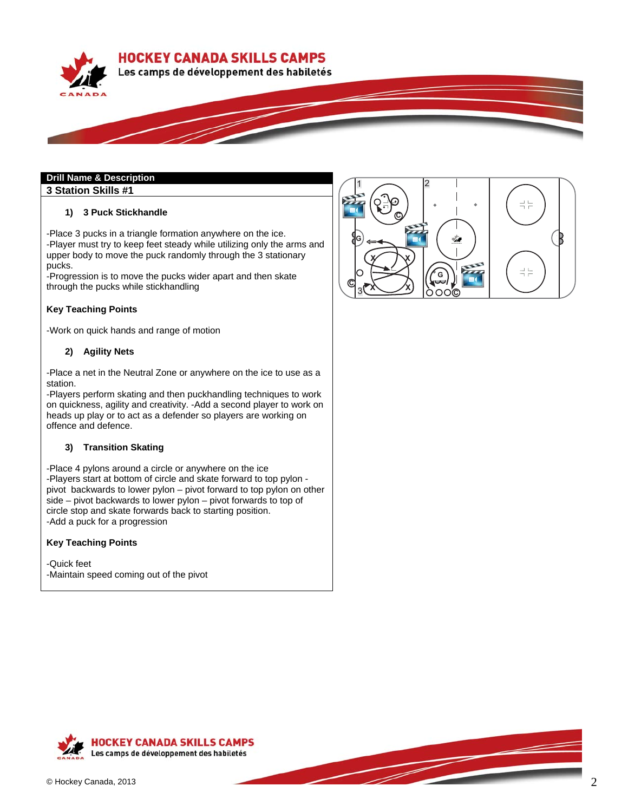**HOCKEY CANADA SKILLS CAMPS** 



#### Les camps de développement des habiletés

#### **Drill Name & Description 3 Station Skills #1**

#### **1) 3 Puck Stickhandle**

-Place 3 pucks in a triangle formation anywhere on the ice. -Player must try to keep feet steady while utilizing only the arms and upper body to move the puck randomly through the 3 stationary pucks.

-Progression is to move the pucks wider apart and then skate through the pucks while stickhandling

#### **Key Teaching Points**

-Work on quick hands and range of motion

#### **2) Agility Nets**

-Place a net in the Neutral Zone or anywhere on the ice to use as a station.

-Players perform skating and then puckhandling techniques to work on quickness, agility and creativity. -Add a second player to work on heads up play or to act as a defender so players are working on offence and defence.

#### **3) Transition Skating**

-Place 4 pylons around a circle or anywhere on the ice -Players start at bottom of circle and skate forward to top pylon pivot backwards to lower pylon – pivot forward to top pylon on other side – pivot backwards to lower pylon – pivot forwards to top of circle stop and skate forwards back to starting position. -Add a puck for a progression

#### **Key Teaching Points**

-Quick feet -Maintain speed coming out of the pivot